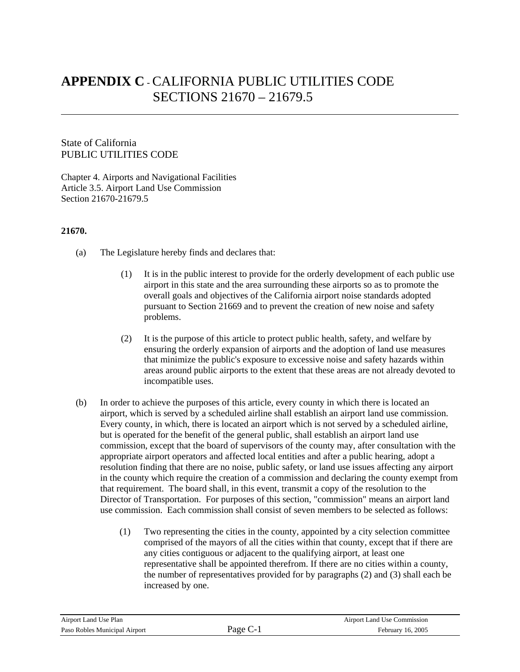# **APPENDIX C** - CALIFORNIA PUBLIC UTILITIES CODE SECTIONS 21670 – 21679.5

## UBLIC UTILITIES CODE P State of California

l

Chapter 4. Airports and Navigational Facilities Article 3.5. Airport Land Use Commission Section 21670-21679.5

## **1670. 2**

- ) The Legislature hereby finds and declares that: (a
	- $(1)$  It is in the public interest to provide for the orderly development of each public use pursuant to Section 21669 and to prevent the creation of new noise and safety roblems. p airport in this state and the area surrounding these airports so as to promote the overall goals and objectives of the California airport noise standards adopted
	- $(2)$ areas around public airports to the extent that these areas are not already devoted to incompatible uses. It is the purpose of this article to protect public health, safety, and welfare by ensuring the orderly expansion of airports and the adoption of land use measures that minimize the public's exposure to excessive noise and safety hazards within
- (b) Every county, in which, there is located an airport which is not served by a scheduled airline, commission, except that the board of supervisors of the county may, after consultation with the in the county which require the creation of a commission and declaring the county exempt from use commission. Each commission shall consist of seven members to be selected as follows: In order to achieve the purposes of this article, every county in which there is located an airport, which is served by a scheduled airline shall establish an airport land use commission. but is operated for the benefit of the general public, shall establish an airport land use appropriate airport operators and affected local entities and after a public hearing, adopt a resolution finding that there are no noise, public safety, or land use issues affecting any airport that requirement. The board shall, in this event, transmit a copy of the resolution to the Director of Transportation. For purposes of this section, "commission" means an airport land
	- (1) comprised of the mayors of all the cities within that county, except that if there are the number of representatives provided for by paragraphs  $(2)$  and  $(3)$  shall each be increased by one. Two representing the cities in the county, appointed by a city selection committee any cities contiguous or adjacent to the qualifying airport, at least one representative shall be appointed therefrom. If there are no cities within a county,

| Airport Land Use Plan         |        | Airport Land Use Commission |
|-------------------------------|--------|-----------------------------|
| Paso Robles Municipal Airport | Page ( | February 16, 2005           |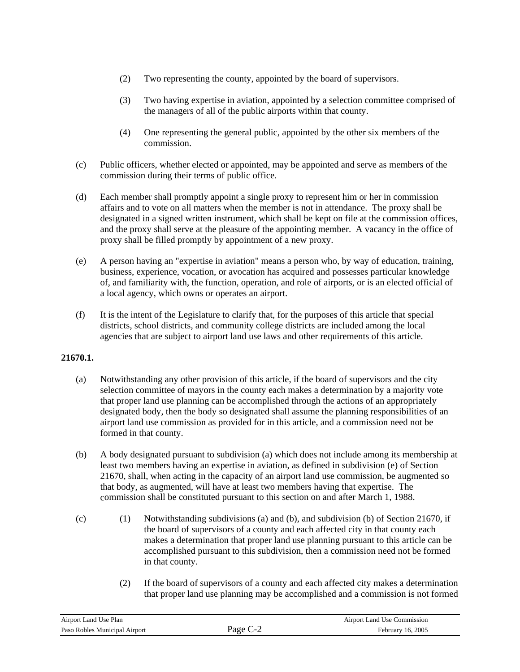- (2) Two representing the county, appointed by the board of supervisors.
- (3) Two having expertise in aviation, appointed by a selection committee comprised of the managers of all of the public airports within that county.
- (4) One representing the general public, appointed by the other six members of the ommission. c
- (c) Public officers, whether elected or appointed, may be appointed and serve as members of the commission during their terms of public office.
- (d) and the proxy shall serve at the pleasure of the appointing member. A vacancy in the office of proxy shall be filled promptly by appointment of a new proxy. Each member shall promptly appoint a single proxy to represent him or her in commission affairs and to vote on all matters when the member is not in attendance. The proxy shall be designated in a signed written instrument, which shall be kept on file at the commission offices,
- (e) of, and familiarity with, the function, operation, and role of airports, or is an elected official of a local agency, which owns or operates an airport. A person having an "expertise in aviation" means a person who, by way of education, training, business, experience, vocation, or avocation has acquired and possesses particular knowledge
- (f) l It is the intent of the Legislature to clarify that, for the purposes of this article that specia agencies that are subject to airport land use laws and other requirements of this article. districts, school districts, and community college districts are included among the local

## **1670.1. 2**

- (a) designated body, then the body so designated shall assume the planning responsibilities of an airport land use commission as provided for in this article, and a commission need not be formed in that county. Notwithstanding any other provision of this article, if the board of supervisors and the city selection committee of mayors in the county each makes a determination by a majority vote that proper land use planning can be accomplished through the actions of an appropriately
- (b) A body designated pursuant to subdivision (a) which does not include among its membership at 21670, shall, when acting in the capacity of an airport land use commission, be augmented so ommission shall be constituted pursuant to this section on and after March 1, 1988. c least two members having an expertise in aviation, as defined in subdivision (e) of Section that body, as augmented, will have at least two members having that expertise. The
- (c) (1) Notwithstanding subdivisions (a) and (b), and subdivision (b) of Section 21670, if accomplished pursuant to this subdivision, then a commission need not be formed in that county. the board of supervisors of a county and each affected city in that county each makes a determination that proper land use planning pursuant to this article can be
	- (2) that proper land use planning may be accomplished and a commission is not formed If the board of supervisors of a county and each affected city makes a determination

| Airport Land Use Plan         |                      | Airport Land Use Commission |
|-------------------------------|----------------------|-----------------------------|
| Paso Robles Municipal Airport | Page $C_{\text{-}2}$ | February 16, 2005           |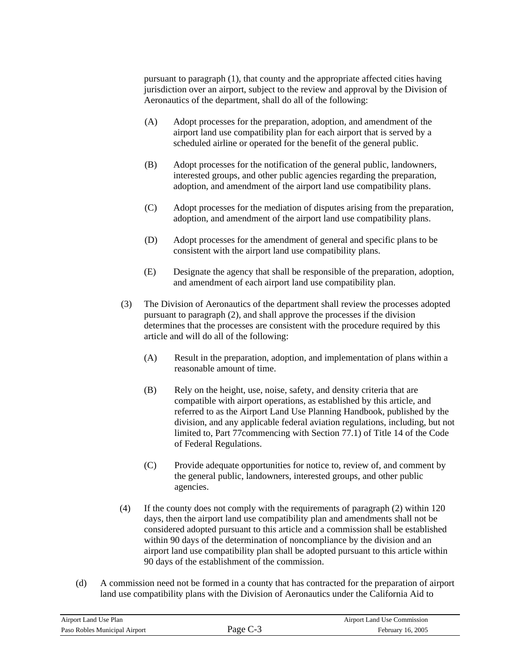pursuant to paragraph (1), that county and the appropriate affected cities having jurisdiction over an airport, subject to the review and approval by the Division of Aeronautics of the department, shall do all of the following:

- (A) Adopt processes for the preparation, adoption, and amendment of the airport land use compatibility plan for each airport that is served by a scheduled airline or operated for the benefit of the general public.
- (B) interested groups, and other public agencies regarding the preparation, Adopt processes for the notification of the general public, landowners, adoption, and amendment of the airport land use compatibility plans.
- (C) Adopt processes for the mediation of disputes arising from the preparation, adoption, and amendment of the airport land use compatibility plans.
- (D) Adopt processes for the amendment of general and specific plans to be consistent with the airport land use compatibility plans.
- ) Designate the agency that shall be responsible of the preparation, adoption,  $(E)$ and amendment of each airport land use compatibility plan.
- (3) The Division of Aeronautics of the department shall review the processes adopted pursuant to paragraph (2), and shall approve the processes if the division determines that the processes are consistent with the procedure required by this article and will do all of the following:
	- (A) Result in the preparation, adoption, and implementation of plans within a reasonable amount of time.
	- (B) division, and any applicable federal aviation regulations, including, but not limited to, Part 77 commencing with Section 77.1) of Title 14 of the Code Rely on the height, use, noise, safety, and density criteria that are compatible with airport operations, as established by this article, and referred to as the Airport Land Use Planning Handbook, published by the of Federal Regulations.
	- (C) Provide adequate opportunities for notice to, review of, and comment by the general public, landowners, interested groups, and other public agencies.
- (4) within 90 days of the determination of noncompliance by the division and an airport land use compatibility plan shall be adopted pursuant to this article within If the county does not comply with the requirements of paragraph (2) within 120 days, then the airport land use compatibility plan and amendments shall not be considered adopted pursuant to this article and a commission shall be established 90 days of the establishment of the commission.
- (d) A commission need not be formed in a county that has contracted for the preparation of airport land use compatibility plans with the Division of Aeronautics under the California Aid to

| Airport Land Use Plan         |        | Airport Land Use Commission |
|-------------------------------|--------|-----------------------------|
| Paso Robles Municipal Airport | rage ' | February 16, 2005           |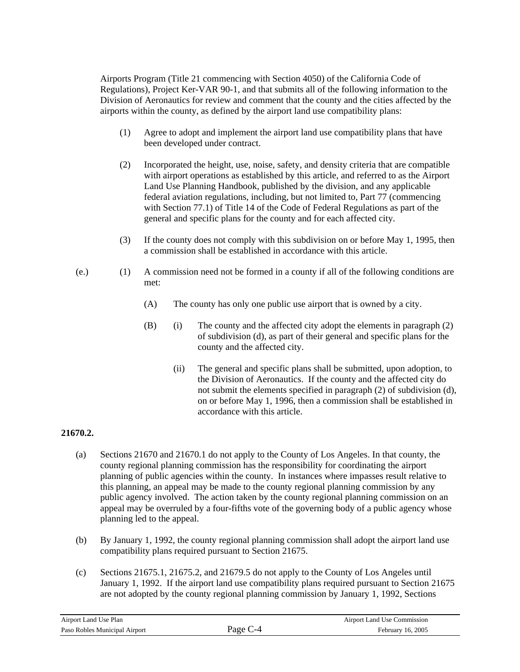Airports Program (Title 21 commencing with Section 4050) of the California Code of Regulations), Project Ker-VAR 90-1, and that submits all of the following information to the Division of Aeronautics for review and comment that the county and the cities affected by the airports within the county, as defined by the airport land use compatibility plans:

- (1) Agree to adopt and implement the airport land use compatibility plans that have been developed under contract.
- (2) e Incorporated the height, use, noise, safety, and density criteria that are compatibl with airport operations as established by this article, and referred to as the Airport Land Use Planning Handbook, published by the division, and any applicable federal aviation regulations, including, but not limited to, Part 77 (commencing . general and specific plans for the county and for each affected city with Section 77.1) of Title 14 of the Code of Federal Regulations as part of the
- a commission shall be established in accordance with this article. (3) If the county does not comply with this subdivision on or before May 1, 1995, then
- $(e.)$  (1) A commission need not be formed in a county if all of the following conditions are met:
	- (A) The county has only one public use airport that is owned by a city.
	- (B) ) The county and the affected city adopt the elements in paragraph (2) (i of subdivision (d), as part of their general and specific plans for the county and the affected city.
		- $(ii)$ the Division of Aeronautics. If the county and the affected city do not submit the elements specified in paragraph (2) of subdivision (d), on or before May 1, 1996, then a commission shall be established in accordance with this article. The general and specific plans shall be submitted, upon adoption, to

# **21670.2.**

- (a) this planning, an appeal may be made to the county regional planning commission by any public agency involved. The action taken by the county regional planning commission on an Sections 21670 and 21670.1 do not apply to the County of Los Angeles. In that county, the county regional planning commission has the responsibility for coordinating the airport planning of public agencies within the county. In instances where impasses result relative to appeal may be overruled by a four-fifths vote of the governing body of a public agency whose planning led to the appeal.
- (b) By January 1, 1992, the county regional planning commission shall adopt the airport land use compatibility plans required pursuant to Section 21675.
- $(c)$ January 1, 1992. If the airport land use compatibility plans required pursuant to Section 21675 are not adopted by the county regional planning commission by January 1, 1992, Sections Sections 21675.1, 21675.2, and 21679.5 do not apply to the County of Los Angeles until

| Airport Land Use Plan         |           | Airport Land Use Commission |
|-------------------------------|-----------|-----------------------------|
| Paso Robles Municipal Airport | age<br>-4 | February 16, 2005           |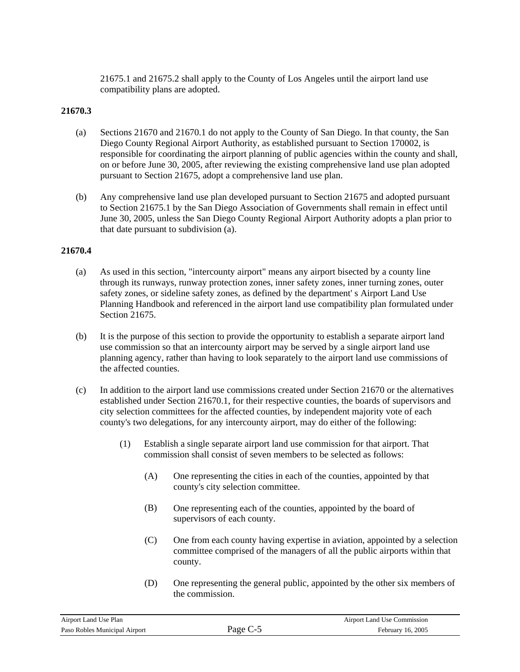21675.1 and 21675.2 shall apply to the County of Los Angeles until the airport land use compatibility plans are adopted.

#### **21670.3**

- (a) Sections 21670 and 21670.1 do not apply to the County of San Diego. In that county, the San Diego County Regional Airport Authority, as established pursuant to Section 170002, is responsible for coordinating the airport planning of public agencies within the county and shall, on or before June 30, 2005, after reviewing the existing comprehensive land use plan adopted pursuant to Section 21675, adopt a comprehensive land use plan.
- (b) Any comprehensive land use plan developed pursuant to Section 21675 and adopted pursuant to Section 21675.1 by the San Diego Association of Governments shall remain in effect until June 30, 2005, unless the San Diego County Regional Airport Authority adopts a plan prior to that date pursuant to subdivision (a).

#### **21670.4**

- (a) As used in this section, "intercounty airport" means any airport bisected by a county line through its runways, runway protection zones, inner safety zones, inner turning zones, outer Planning Handbook and referenced in the airport land use compatibility plan formulated under safety zones, or sideline safety zones, as defined by the department' s Airport Land Use Section 21675.
- (b) It is the purpose of this section to provide the opportunity to establish a separate airport land use commission so that an intercounty airport may be served by a single airport land use planning agency, rather than having to look separately to the airport land use commissions of the affected counties.
- (c) In addition to the airport land use commissions created under Section 21670 or the alternatives established under Section 21670.1, for their respective counties, the boards of supervisors and city selection committees for the affected counties, by independent majority vote of each county's two delegations, for any intercounty airport, may do either of the following:
	- (1) Establish a single separate airport land use commission for that airport. That commission shall consist of seven members to be selected as follows:
		- $(A)$  One representing the cities in each of the counties, appointed by that county's city selection committee.
		- (B) supervisors of each county. One representing each of the counties, appointed by the board of
		- committee comprised of the managers of all the public airports within that (C) One from each county having expertise in aviation, appointed by a selection county.
		- (D) One representing the general public, appointed by the other six members of the commission.

| Airport Land Use Plan         |        | Airport Land Use Commission |
|-------------------------------|--------|-----------------------------|
| Paso Robles Municipal Airport | rage t | February 16, 2005           |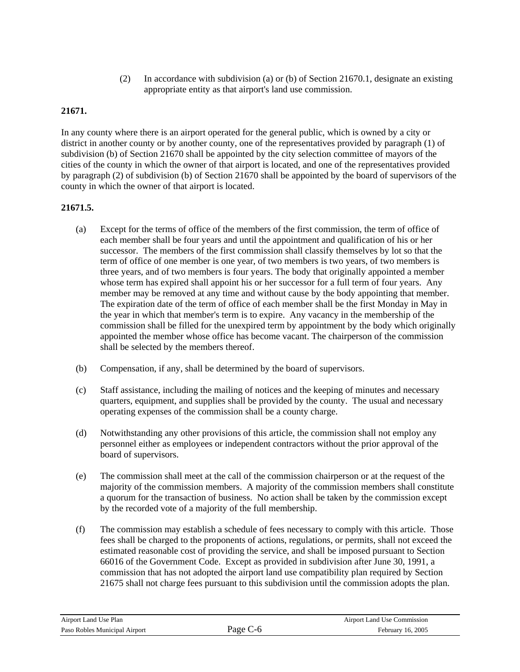(2) In accordance with subdivision (a) or (b) of Section 21670.1, designate an existing appropriate entity as that airport's land use commission.

# **21671.**

district in another county or by another county, one of the representatives provided by paragraph (1) of subdivision (b) of Section 21670 shall be appointed by the city selection committee of mayors of the cities of the county in which the owner of that airport is located, and one of the representatives provided by paragraph (2) of subdivision (b) of Section 21670 shall be appointed by the board of supervisors of the county in which the owner of that airport is located. In any county where there is an airport operated for the general public, which is owned by a city or

# **21671.5.**

- (a) member may be removed at any time and without cause by the body appointing that member. The expiration date of the term of office of each member shall be the first Monday in May in the year in which that member's term is to expire. Any vacancy in the membership of the commission shall be filled for the unexpired term by appointment by the body which originally appointed the member whose office has become vacant. The chairperson of the commission Except for the terms of office of the members of the first commission, the term of office of each member shall be four years and until the appointment and qualification of his or her successor. The members of the first commission shall classify themselves by lot so that the term of office of one member is one year, of two members is two years, of two members is three years, and of two members is four years. The body that originally appointed a member whose term has expired shall appoint his or her successor for a full term of four years. Any shall be selected by the members thereof.
- (b) Compensation, if any, shall be determined by the board of supervisors.
- operating expenses of the commission shall be a county charge. (c) Staff assistance, including the mailing of notices and the keeping of minutes and necessary quarters, equipment, and supplies shall be provided by the county. The usual and necessary
- (d) Notwithstanding any other provisions of this article, the commission shall not employ any personnel either as employees or independent contractors without the prior approval of the board of supervisors.
- (e) he commission shall meet at the call of the commission chairperson or at the request of the T majority of the commission members. A majority of the commission members shall constitute a quorum for the transaction of business. No action shall be taken by the commission except by the recorded vote of a majority of the full membership.
- (f) e The commission may establish a schedule of fees necessary to comply with this article. Thos estimated reasonable cost of providing the service, and shall be imposed pursuant to Section 66016 of the Government Code. Except as provided in subdivision after June 30, 1991, a fees shall be charged to the proponents of actions, regulations, or permits, shall not exceed the commission that has not adopted the airport land use compatibility plan required by Section 21675 shall not charge fees pursuant to this subdivision until the commission adopts the plan.

| Airport Land Use Plan         |          | <b>Airport Land Use Commission</b> |
|-------------------------------|----------|------------------------------------|
| Paso Robles Municipal Airport | Page C-6 | February 16, 2005                  |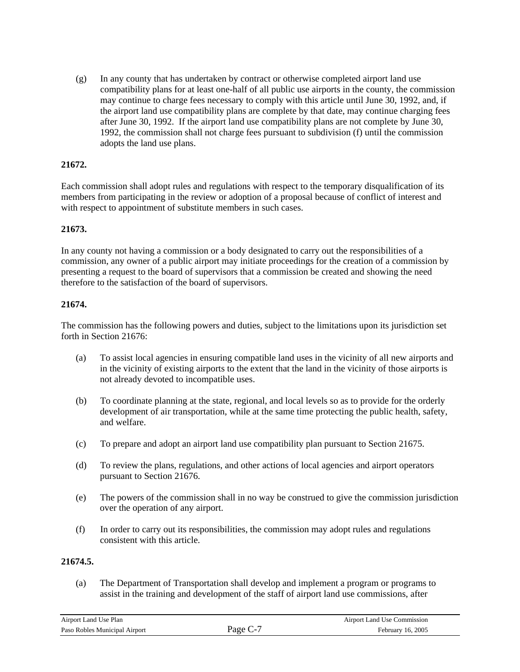(g) compatibility plans for at least one-half of all public use airports in the county, the commission may continue to charge fees necessary to comply with this article until June 30, 1992, and, if the airport land use compatibility plans are complete by that date, may continue charging fees after June 30, 1992. If the airport land use compatibility plans are not complete by June 30, In any county that has undertaken by contract or otherwise completed airport land use 1992, the commission shall not charge fees pursuant to subdivision (f) until the commission adopts the land use plans.

## **1672. 2**

Each commission shall adopt rules and regulations with respect to the temporary disqualification of its members from participating in the review or adoption of a proposal because of conflict of interest and with respect to appointment of substitute members in such cases.

## **21673.**

In any county not having a commission or a body designated to carry out the responsibilities of a ommission, any owner of a public airport may initiate proceedings for the creation of a commission by c therefore to the satisfaction of the board of supervisors. presenting a request to the board of supervisors that a commission be created and showing the need

#### **216 74.**

The commission has the following powers and duties, subject to the limitations upon its jurisdiction set forth in Section 21676:

- (a) in the vicinity of existing airports to the extent that the land in the vicinity of those airports is not already devoted to incompatible uses. To assist local agencies in ensuring compatible land uses in the vicinity of all new airports and
- (b) To coordinate planning at the state, regional, and local levels so as to provide for the orderly development of air transportation, while at the same time protecting the public health, safety, and welfare.
- (c) To prepare and adopt an airport land use compatibility plan pursuant to Section 21675.
- (d) To review the plans, regulations, and other actions of local agencies and airport operators pursuant to Section 21676.
- (e) The powers of the commission shall in no way be construed to give the commission jurisdiction over the operation of any airport.
- (f) In order to carry out its responsibilities, the commission may adopt rules and regulations consistent with this article.

## **21674.5.**

(a) The Department of Transportation shall develop and implement a program or programs to assist in the training and development of the staff of airport land use commissions, after

| Airport Land Use Plan         |                      | Airport Land Use Commission |
|-------------------------------|----------------------|-----------------------------|
| Paso Robles Municipal Airport | Page C- <sup>-</sup> | February 16, 2005           |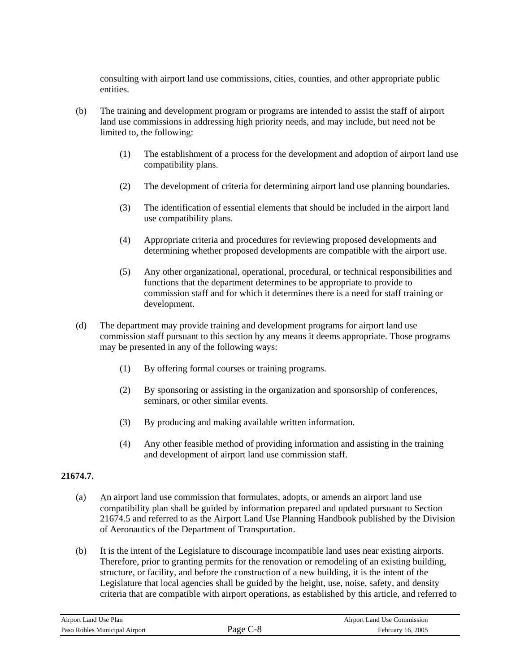consulting with airport land use commissions, cities, counties, and other appropriate public entities.

- (b) The training and development program or programs are intended to assist the staff of airport land use commissions in addressing high priority needs, and may include, but need not be limited to, the following:
	- ) The establishment of a process for the development and adoption of airport land use (1 compatibility plans.
	- (2) The development of criteria for determining airport land use planning boundaries.
	- (3) use compatibility plans. The identification of essential elements that should be included in the airport land
	- (4) Appropriate criteria and procedures for reviewing proposed developments and determining whether proposed developments are compatible with the airport use.
	- (5) Any other organizational, operational, procedural, or technical responsibilities and functions that the department determines to be appropriate to provide to commission staff and for which it determines there is a need for staff training or development.
- (d) The department may provide training and development programs for airport land use commission staff pursuant to this section by any means it deems appropriate. Those programs may be presented in any of the following ways:
	- ) By offering formal courses or training programs. (1
	- ) By sponsoring or assisting in the organization and sponsorship of conferences,  $(2)$ seminars, or other similar events.
	- (3) By producing and making available written information.
	- (4) Any other feasible method of providing information and assisting in the training and development of airport land use commission staff.

# **21674.7.**

- (a) n airport land use commission that formulates, adopts, or amends an airport land use A 21674.5 and referred to as the Airport Land Use Planning Handbook published by the Division compatibility plan shall be guided by information prepared and updated pursuant to Section of Aeronautics of the Department of Transportation.
- (b) criteria that are compatible with airport operations, as established by this article, and referred to It is the intent of the Legislature to discourage incompatible land uses near existing airports. Therefore, prior to granting permits for the renovation or remodeling of an existing building, structure, or facility, and before the construction of a new building, it is the intent of the Legislature that local agencies shall be guided by the height, use, noise, safety, and density

| Airport Land Use Plan         |          | Airport Land Use Commission |
|-------------------------------|----------|-----------------------------|
| Paso Robles Municipal Airport | Page C-8 | February 16, 2005           |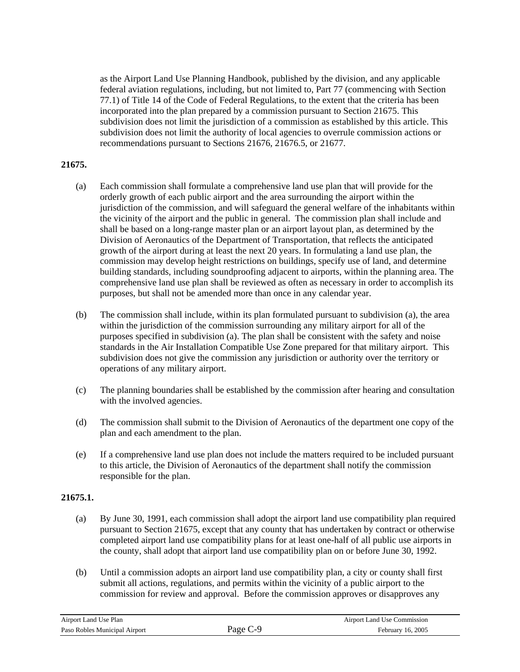federal aviation regulations, including, but not limited to, Part 77 (commencing with Section 77.1) of Title 14 of the Code of Federal Regulations, to the extent that the criteria has been incorporated into the plan prepared by a commission pursuant to Section 21675. This subdivision does not limit the jurisdiction of a commission as established by this article. This subdivision does not limit the authority of local agencies to overrule commission actions or as the Airport Land Use Planning Handbook, published by the division, and any applicable recommendations pursuant to Sections 21676, 21676.5, or 21677.

#### **21675.**

- (a) jurisdiction of the commission, and will safeguard the general welfare of the inhabitants within Division of Aeronautics of the Department of Transportation, that reflects the anticipated growth of the airport during at least the next 20 years. In formulating a land use plan, the building standards, including soundproofing adjacent to airports, within the planning area. The comprehensive land use plan shall be reviewed as often as necessary in order to accomplish its Each commission shall formulate a comprehensive land use plan that will provide for the orderly growth of each public airport and the area surrounding the airport within the the vicinity of the airport and the public in general. The commission plan shall include and shall be based on a long-range master plan or an airport layout plan, as determined by the commission may develop height restrictions on buildings, specify use of land, and determine purposes, but shall not be amended more than once in any calendar year.
- (b) The commission shall include, within its plan formulated pursuant to subdivision (a), the area within the jurisdiction of the commission surrounding any military airport for all of the standards in the Air Installation Compatible Use Zone prepared for that military airport. This subdivision does not give the commission any jurisdiction or authority over the territory or purposes specified in subdivision (a). The plan shall be consistent with the safety and noise operations of any military airport.
- (c) he planning boundaries shall be established by the commission after hearing and consultation T with the involved agencies.
- (d) The commission shall submit to the Division of Aeronautics of the department one copy of the plan and each amendment to the plan.
- (e) If a comprehensive land use plan does not include the matters required to be included pursuant to this article, the Division of Aeronautics of the department shall notify the commission responsible for the plan.

## **21675.1.**

- (a) By June 30, 1991, each commission shall adopt the airport land use compatibility plan required pursuant to Section 21675, except that any county that has undertaken by contract or otherwise completed airport land use compatibility plans for at least one-half of all public use airports in the county, shall adopt that airport land use compatibility plan on or before June 30, 1992.
- (b) commission for review and approval. Before the commission approves or disapproves any Until a commission adopts an airport land use compatibility plan, a city or county shall first submit all actions, regulations, and permits within the vicinity of a public airport to the

| Airport Land Use Plan         |          | Airport Land Use Commission |
|-------------------------------|----------|-----------------------------|
| Paso Robles Municipal Airport | Page C-9 | February 16, 2005           |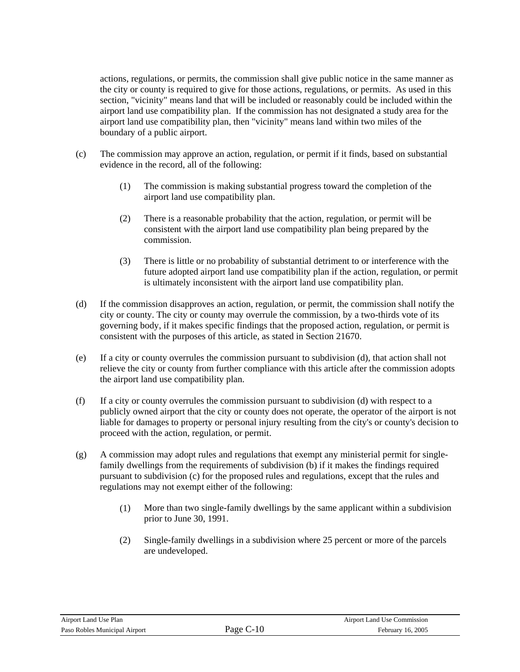actions, regulations, or permits, the commission shall give public notice in the same manner as section, "vicinity" means land that will be included or reasonably could be included within the airport land use compatibility plan. If the commission has not designated a study area for the airport land use compatibility plan, then "vicinity" means land within two miles of the boundary o f a public airport. the city or county is required to give for those actions, regulations, or permits. As used in this

- (c) The commission may approve an action, regulation, or permit if it finds, based on substantial evidence in the record, all of the following:
	- (1) The commission is making substantial progress toward the completion of the airport land use compatibility plan.
	- (2) There is a reasonable probability that the action, regulation, or permit will be consistent with the airport land use compatibility plan being prepared by the commission.
	- future adopted airport land use compatibility plan if the action, regulation, or permit is ultimately inconsistent with the airport land use compatibility plan. (3) There is little or no probability of substantial detriment to or interference with the
- (d) city or county. The city or county may overrule the commission, by a two-thirds vote of its governing body, if it makes specific findings that the proposed action, regulation, or permit is If the commission disapproves an action, regulation, or permit, the commission shall notify the consistent with the purposes of this article, as stated in Section 21670.
- (e) relieve the city or county from further compliance with this article after the commission adopts the airport land use compatibility plan. If a city or county overrules the commission pursuant to subdivision (d), that action shall not
- (f) publicly owned airport that the city or county does not operate, the operator of the airport is not liable for damages to property or personal injury resulting from the city's or county's decision to proceed with the action, regulation, or permit. If a city or county overrules the commission pursuant to subdivision (d) with respect to a
- (g) A commission may adopt rules and regulations that exempt any ministerial permit for singlefamily dwellings from the requirements of subdivision (b) if it makes the findings required pursuant to subdivision (c) for the proposed rules and regulations, except that the rules and regulations may not exempt either of the following:
	- ) More than two single-family dwellings by the same applicant within a subdivision prior to June 30, 1991.  $(1)$
	- (2) Single-family dwellings in a subdivision where 25 percent or more of the parcels are undeveloped.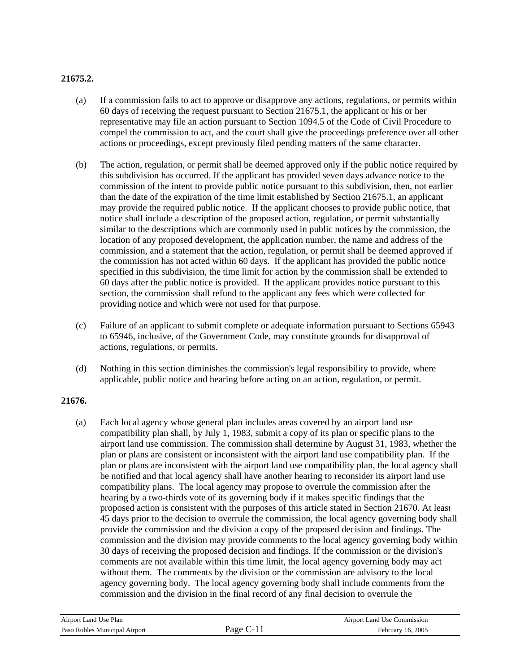# **21675.2.**

- (a) If a commission fails to act to approve or disapprove any actions, regulations, or permits within compel the commission to act, and the court shall give the proceedings preference over all other 60 days of receiving the request pursuant to Section 21675.1, the applicant or his or her representative may file an action pursuant to Section 1094.5 of the Code of Civil Procedure to actions or proceedings, except previously filed pending matters of the same character.
- (b) The action, regulation, or permit shall be deemed approved only if the public notice required by commission of the intent to provide public notice pursuant to this subdivision, then, not earlier may provide the required public notice. If the applicant chooses to provide public notice, that notice shall include a description of the proposed action, regulation, or permit substantially similar to the descriptions which are commonly used in public notices by the commission, the location of any proposed development, the application number, the name and address of the the commission has not acted within 60 days. If the applicant has provided the public notice specified in this subdivision, the time limit for action by the commission shall be extended to 0 days after the public notice is provided. If the applicant provides notice pursuant to this 6 this subdivision has occurred. If the applicant has provided seven days advance notice to the than the date of the expiration of the time limit established by Section 21675.1, an applicant commission, and a statement that the action, regulation, or permit shall be deemed approved if section, the commission shall refund to the applicant any fees which were collected for providing notice and which were not used for that purpose.
- Failure of an applicant to submit complete or adequate information pursuant to Sections 65943 to 65946, inclusive, of the Government Code, may constitute grounds for disapproval of (c) actions, regulations, or permits.
- (d) Nothing in this section diminishes the commission's legal responsibility to provide, where applicable, public notice and hearing before acting on an action, regulation, or permit.

## **21676.**

(a) plan or plans are consistent or inconsistent with the airport land use compatibility plan. If the proposed action is consistent with the purposes of this article stated in Section 21670. At least 45 days prior to the decision to overrule the commission, the local agency governing body shall provide the commission and the division a copy of the proposed decision and findings. The commission and the division may provide comments to the local agency governing body within agency governing body. The local agency governing body shall include comments from the Each local agency whose general plan includes areas covered by an airport land use compatibility plan shall, by July 1, 1983, submit a copy of its plan or specific plans to the airport land use commission. The commission shall determine by August 31, 1983, whether the plan or plans are inconsistent with the airport land use compatibility plan, the local agency shall be notified and that local agency shall have another hearing to reconsider its airport land use compatibility plans. The local agency may propose to overrule the commission after the hearing by a two-thirds vote of its governing body if it makes specific findings that the 30 days of receiving the proposed decision and findings. If the commission or the division's comments are not available within this time limit, the local agency governing body may act without them. The comments by the division or the commission are advisory to the local commission and the division in the final record of any final decision to overrule the

| Airport Land Use Plan         |             | <b>Airport Land Use Commission</b> |
|-------------------------------|-------------|------------------------------------|
| Paso Robles Municipal Airport | Page $C-11$ | February 16, 2005                  |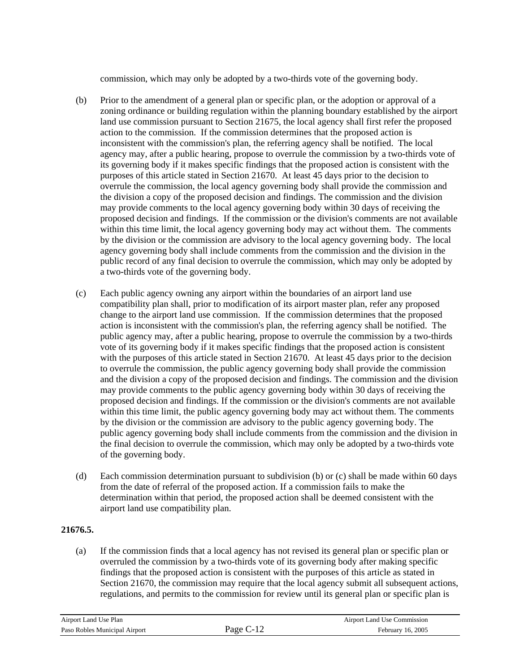commission, which may only be adopted by a two-thirds vote of the governing body.

- (b) zoning ordinance or building regulation within the planning boundary established by the airport land use commission pursuant to Section 21675, the local agency shall first refer the proposed overrule the commission, the local agency governing body shall provide the commission and the division a copy of the proposed decision and findings. The commission and the division may provide comments to the local agency governing body within 30 days of receiving the proposed decision and findings. If the commission or the division's comments are not available within this time limit, the local agency governing body may act without them. The comments Prior to the amendment of a general plan or specific plan, or the adoption or approval of a action to the commission. If the commission determines that the proposed action is inconsistent with the commission's plan, the referring agency shall be notified. The local agency may, after a public hearing, propose to overrule the commission by a two-thirds vote of its governing body if it makes specific findings that the proposed action is consistent with the purposes of this article stated in Section 21670. At least 45 days prior to the decision to by the division or the commission are advisory to the local agency governing body. The local agency governing body shall include comments from the commission and the division in the public record of any final decision to overrule the commission, which may only be adopted by a two-thirds vote of the governing body.
- (c) public agency may, after a public hearing, propose to overrule the commission by a two-thirds to overrule the commission, the public agency governing body shall provide the commission and the division a copy of the proposed decision and findings. The commission and the division proposed decision and findings. If the commission or the division's comments are not available within this time limit, the public agency governing body may act without them. The comments by the division or the commission are advisory to the public agency governing body. The public agency governing body shall include comments from the commission and the division in the final decision to overrule the commission, which may only be adopted by a two-thirds vote of the governing body. Each public agency owning any airport within the boundaries of an airport land use compatibility plan shall, prior to modification of its airport master plan, refer any proposed change to the airport land use commission. If the commission determines that the proposed action is inconsistent with the commission's plan, the referring agency shall be notified. The vote of its governing body if it makes specific findings that the proposed action is consistent with the purposes of this article stated in Section 21670. At least 45 days prior to the decision may provide comments to the public agency governing body within 30 days of receiving the
- (d) Each commission determination pursuant to subdivision (b) or (c) shall be made within 60 days from the date of referral of the proposed action. If a commission fails to make the determination within that period, the proposed action shall be deemed consistent with the airport land use compatibility plan.

## **21676.5.**

(a) overruled the commission by a two-thirds vote of its governing body after making specific Section 21670, the commission may require that the local agency submit all subsequent actions, If the commission finds that a local agency has not revised its general plan or specific plan or findings that the proposed action is consistent with the purposes of this article as stated in regulations, and permits to the commission for review until its general plan or specific plan is

| Airport Land Use Plan         |             | Airport Land Use Commission |
|-------------------------------|-------------|-----------------------------|
| Paso Robles Municipal Airport | <i>Page</i> | February 16, 2005           |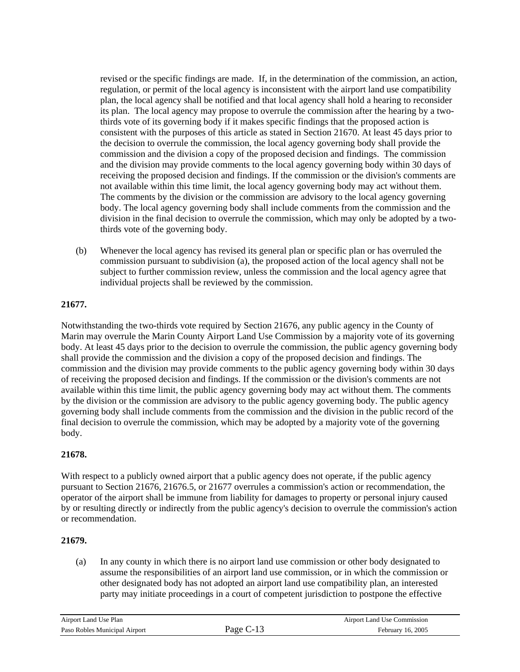consistent with the purposes of this article as stated in Section 21670. At least 45 days prior to the decision to overrule the commission, the local agency governing body shall provide the and the division may provide comments to the local agency governing body within 30 days of receiving the proposed decision and findings. If the commission or the division's comments are not available within this time limit, the local agency governing body may act without them. The comments by the division or the commission are advisory to the local agency governing body. The local agency governing body shall include comments from the commission and the division in the final decision to overrule the commission, which may only be adopted by a tworevised or the specific findings are made. If, in the determination of the commission, an action, regulation, or permit of the local agency is inconsistent with the airport land use compatibility plan, the local agency shall be notified and that local agency shall hold a hearing to reconsider its plan. The local agency may propose to overrule the commission after the hearing by a twothirds vote of its governing body if it makes specific findings that the proposed action is commission and the division a copy of the proposed decision and findings. The commission thirds vote of the governing body.

commission pursuant to subdivision (a), the proposed action of the local agency shall not be (b) Whenever the local agency has revised its general plan or specific plan or has overruled the subject to further commission review, unless the commission and the local agency agree that individual projects shall be reviewed by the commission.

## **21677.**

Marin may overrule the Marin County Airport Land Use Commission by a majority vote of its governing body. At least 45 days prior to the decision to overrule the commission, the public agency governing body shall provide the commission and the division a copy of the proposed decision and findings. The ommission and the division may provide comments to the public agency governing body within 30 days c of receiving the proposed decision and findings. If the commission or the division's comments are not final decision to overrule the commission, which may be adopted by a majority vote of the governing body. Notwithstanding the two-thirds vote required by Section 21676, any public agency in the County of available within this time limit, the public agency governing body may act without them. The comments by the division or the commission are advisory to the public agency governing body. The public agency governing body shall include comments from the commission and the division in the public record of the

# **1678. 2**

With resp ect to a publicly owned airport that a public agency does not operate, if the public agency pursuant t o Section 21676, 21676.5, or 21677 overrules a commission's action or recommendation, the operator o f the airport shall be immune from liability for damages to property or personal injury caused by or resu lting directly or indirectly from the public agency's decision to overrule the commission's action or recomm endation.

## **21679.**

(a) assume the responsibilities of an airport land use commission, or in which the commission or other designated body has not adopted an airport land use compatibility plan, an interested party may initiate proceedings in a court of competent jurisdiction to postpone the effective In any county in which there is no airport land use commission or other body designated to

| Airport Land Use Plan         |              | Airport Land Use Commission |
|-------------------------------|--------------|-----------------------------|
| Paso Robles Municipal Airport | age (<br>- - | February 16, 2005           |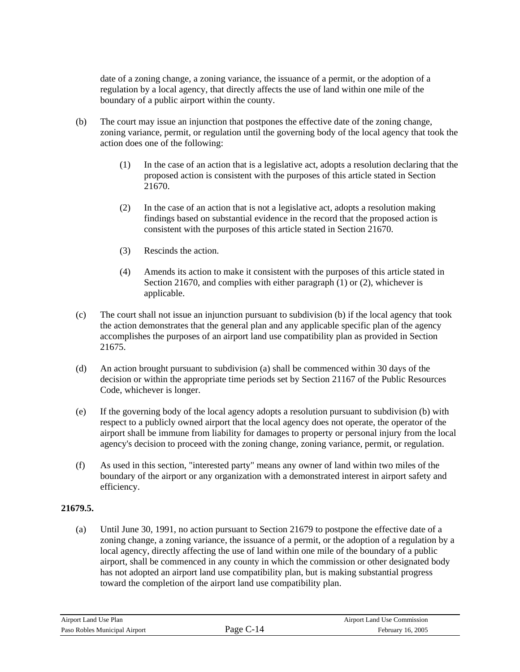date of a zoning change, a zoning variance, the issuance of a permit, or the adoption of a regulation by a local agency, that directly affects the use of land within one mile of the boundary of a public airport within the county.

- (b) The court m ay issue an injunction that postpones the effective date of the zoning change, zoning variance, permit, or regulation until the governing body of the local agency that took the action does one of the following:
	- $(1)$  In the case of an action that is a legislative act, adopts a resolution declaring that the proposed action is consistent with the purposes of this article stated in Section 21670.
	- $(2)$  In the case of an action that is not a legislative act, adopts a resolution making findings based on substantial evidence in the record that the proposed action is consistent with the purposes of this article stated in Section 21670.
	- Rescinds the action. (3)
	- (4) Amends its action to make it consistent with the purposes of this article stated in Section 21670, and complies with either paragraph (1) or (2), whichever is applicable.
- (c) The court shall not issue an injunction pursuant to subdivision (b) if the local agency that took the action demonstrates that the general plan and any applicable specific plan of the agency accomplishes the purposes of an airport land use compatibility plan as provided in Section 21675.
- Code, whichever is longer. (d) An action brought pursuant to subdivision (a) shall be commenced within 30 days of the decision or within the appropriate time periods set by Section 21167 of the Public Resources
- If the governing body of the local agency adopts a resolution pursuant to subdivision (b) with respect to a publicly owned airport that the local agency does not operate, the operator of the airport shall be immune from liability for damages to property or personal injury from the local (e) agency's decision to proceed with the zoning change, zoning variance, permit, or regulation.
- (f) boundary of the airport or any organization with a demonstrated interest in airport safety and As used in this section, "interested party" means any owner of land within two miles of the efficiency.

## **216 . 79.5**

(a) zoning change, a zoning variance, the issuance of a permit, or the adoption of a regulation by a local agency, directly affecting the use of land within one mile of the boundary of a public airport, shall be commenced in any county in which the commission or other designated body Until June 30, 1991, no action pursuant to Section 21679 to postpone the effective date of a has not adopted an airport land use compatibility plan, but is making substantial progress toward the completion of the airport land use compatibility plan.

| Airport Land Use Plan         | Airport Land Use Commission |
|-------------------------------|-----------------------------|
| Paso Robles Municipal Airport | February 16, 2005           |